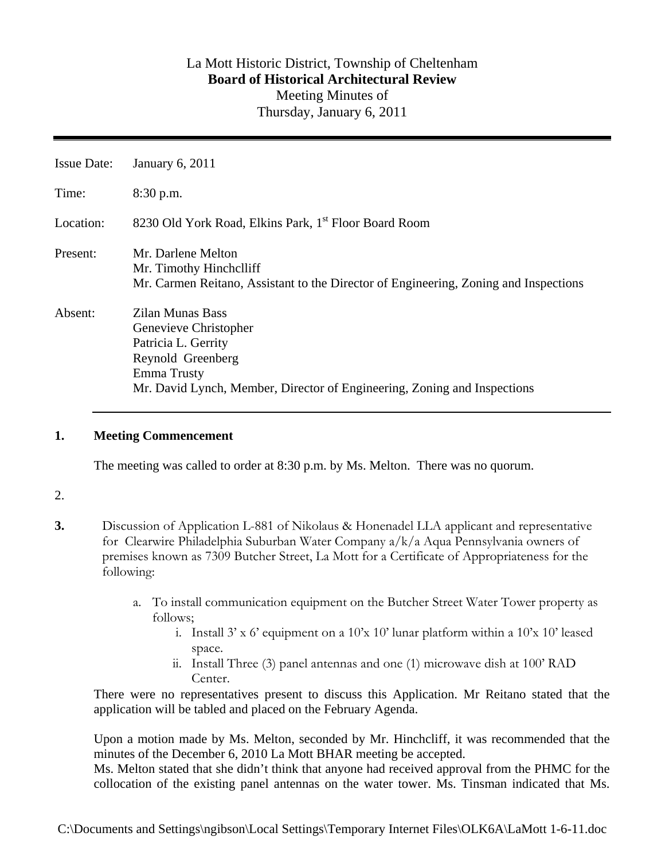# La Mott Historic District, Township of Cheltenham **Board of Historical Architectural Review**  Meeting Minutes of Thursday, January 6, 2011

| <b>Issue Date:</b> | January 6, 2011                                                                                                                                                                         |
|--------------------|-----------------------------------------------------------------------------------------------------------------------------------------------------------------------------------------|
| Time:              | $8:30$ p.m.                                                                                                                                                                             |
| Location:          | 8230 Old York Road, Elkins Park, 1 <sup>st</sup> Floor Board Room                                                                                                                       |
| Present:           | Mr. Darlene Melton<br>Mr. Timothy Hinchelliff<br>Mr. Carmen Reitano, Assistant to the Director of Engineering, Zoning and Inspections                                                   |
| Absent:            | <b>Zilan Munas Bass</b><br>Genevieve Christopher<br>Patricia L. Gerrity<br>Reynold Greenberg<br>Emma Trusty<br>Mr. David Lynch, Member, Director of Engineering, Zoning and Inspections |

### **1. Meeting Commencement**

The meeting was called to order at 8:30 p.m. by Ms. Melton. There was no quorum.

### 2.

- **3.** Discussion of Application L-881 of Nikolaus & Honenadel LLA applicant and representative for Clearwire Philadelphia Suburban Water Company a/k/a Aqua Pennsylvania owners of premises known as 7309 Butcher Street, La Mott for a Certificate of Appropriateness for the following:
	- a. To install communication equipment on the Butcher Street Water Tower property as follows;
		- i. Install  $3'$  x 6' equipment on a  $10'$ x  $10'$  lunar platform within a  $10'$ x  $10'$  leased space.
		- ii. Install Three (3) panel antennas and one (1) microwave dish at 100' RAD Center.

There were no representatives present to discuss this Application. Mr Reitano stated that the application will be tabled and placed on the February Agenda.

Upon a motion made by Ms. Melton, seconded by Mr. Hinchcliff, it was recommended that the minutes of the December 6, 2010 La Mott BHAR meeting be accepted.

Ms. Melton stated that she didn't think that anyone had received approval from the PHMC for the collocation of the existing panel antennas on the water tower. Ms. Tinsman indicated that Ms.